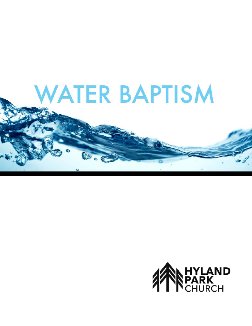

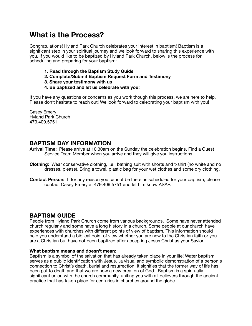# **What is the Process?**

Congratulations! Hyland Park Church celebrates your interest in baptism! Baptism is a significant step in your spiritual journey and we look forward to sharing this experience with you. If you would like to be baptized by Hyland Park Church, below is the process for scheduling and preparing for your baptism:

- **1. Read through the Baptism Study Guide**
- **2. Complete/Submit Baptism Request Form and Testimony**
- **3. Share your testimony with us**
- **4. Be baptized and let us celebrate with you!**

If you have any questions or concerns as you work though this process, we are here to help. Please don't hesitate to reach out! We look forward to celebrating your baptism with you!

Casey Emery Hyland Park Church 479.409.5751

# **BAPTISM DAY INFORMATION**

- **Arrival Time:** Please arrive at 10:30am on the Sunday the celebration begins. Find a Guest Service Team Member when you arrive and they will give you instructions.
- **Clothing:** Wear conservative clothing, i.e., bathing suit with shorts and t-shirt (no white and no dresses, please). Bring a towel, plastic bag for your wet clothes and some dry clothing.
- **Contact Person:** If for any reason you cannot be there as scheduled for your baptism, please contact Casey Emery at 479.409.5751 and let him know ASAP.

# **BAPTISM GUIDE**

People from Hyland Park Church come from various backgrounds. Some have never attended church regularly and some have a long history in a church. Some people at our church have experiences with churches with different points of view of baptism. This information should help you understand a biblical point of view whether you are new to the Christian faith or you are a Christian but have not been baptized after accepting Jesus Christ as your Savior.

#### **What baptism means and doesn't mean:**

Baptism is a symbol of the salvation that has already taken place in your life! Water baptism serves as a public identification with Jesus…a visual and symbolic demonstration of a person's connection to Christ's death, burial and resurrection. It signifies that the former way of life has been put to death and that we are now a new creation of God. Baptism is a spiritually significant union with the church community, uniting you with all believers through the ancient practice that has taken place for centuries in churches around the globe.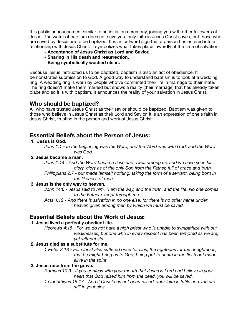It is public announcement similar to an initiation ceremony, joining you with other followers of Jesus. The water of baptism does not save you, only faith in Jesus Christ saves, but those who are saved by Jesus are to be baptized. It is an outward sign that a person has entered into a relationship with Jesus Christ. It symbolizes what takes place inwardly at the time of salvation:

- **Acceptance of Jesus Christ as Lord and Savior.**
- **Sharing in His death and resurrection.**
- **Being symbolically washed clean.**

Because Jesus instructed us to be baptized, baptism is also an act of obedience. It demonstrates submission to God. A good way to understand baptism is to look at a wedding ring. A wedding ring is worn by people who've committed their life in marriage to their mate. The ring doesn't make them married but shows a reality (their marriage) that has already taken place and so it is with baptism. It announces the reality of your salvation in Jesus Christ.

### **Who should be baptized?**

All who have trusted Jesus Christ as their savior should be baptized. Baptism was given to those who believe in Jesus Christ as their Lord and Savior. It is an expression of one's faith in Jesus Christ, trusting in the person and work of Jesus Christ.

# **Essential Beliefs about the Person of Jesus:**

#### **1. Jesus is God.**

*John 1:1 - In the beginning was the Word, and the Word was with God, and the Word was God.* 

#### **2. Jesus became a man.**

*John 1:14 - And the Word became flesh and dwelt among us, and we have seen his glory, glory as of the only Son from the Father, full of grace and truth.* 

*Philippians 2:7 - but made himself nothing, taking the form of a servant, being born in the likeness of men* 

#### **3. Jesus is the only way to heaven.**

*John 14:6 - Jesus said to him, "I am the way, and the truth, and the life. No one comes to the Father except through me."* 

*Acts 4:12 - And there is salvation in no one else, for there is no other name under ` ` heaven given among men by which we must be saved.* 

### **Essential Beliefs about the Work of Jesus:**

#### **1. Jesus lived a perfectly obedient life.**

*Hebrews 4:15 - For we do not have a high priest who is unable to sympathize with our*  weaknesses, but one who in every respect has been tempted as we are,  *yet without sin.* 

#### **2. Jesus died as a substitute for me.**

*1 Peter 3:18 - For Christ also suffered once for sins, the righteous for the unrighteous, that he might bring us to God, being put to death in the flesh but made alive in the spirit* 

#### **3. Jesus rose from the grave.**

*Romans 10:9 - if you confess with your mouth that Jesus is Lord and believe in your heart that God raised him from the dead, you will be saved.* 

*1 Corinthians 15:17 - And if Christ has not been raised, your faith is futile and you are still in your sins.*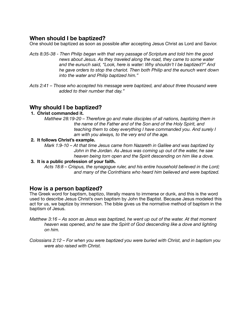# **When should I be baptized?**

One should be baptized as soon as possible after accepting Jesus Christ as Lord and Savior.

- *Acts 8:35-38 Then Philip began with that very passage of Scripture and told him the good news about Jesus. As they traveled along the road, they came to some water and the eunuch said, "Look, here is water: Why shouldn't I be baptized?" And he gave orders to stop the chariot. Then both Philip and the eunuch went down into the water and Philip baptized him."*
- *Acts 2:41 Those who accepted his message were baptized, and about three thousand were added to their number that day."*

# **Why should I be baptized?**

- **1. Christ commanded it.** 
	- *Matthew 28:19-20 Therefore go and make disciples of all nations, baptizing them in the name of the Father and of the Son and of the Holy Spirit, and teaching them to obey everything I have commanded you. And surely I* am with you always, to the very end of the age.

#### **2. It follows Christ's example.**

*Mark 1:9-10 – At that time Jesus came from Nazareth in Galilee and was baptized by John in the Jordan. As Jesus was coming up out of the water, he saw heaven being torn open and the Spirit descending on him like a dove.*

#### **3. It is a public profession of your faith.**

*Acts 18:8 – Crispus, the synagogue ruler, and his entire household believed in the Lord;*  and many of the Corinthians who heard him believed and were baptized.

# **How is a person baptized?**

The Greek word for baptism, baptizo, literally means to immerse or dunk, and this is the word used to describe Jesus Christ's own baptism by John the Baptist. Because Jesus modeled this act for us, we baptize by immersion. The bible gives us the normative method of baptism in the baptism of Jesus.

- *Matthew 3:16 As soon as Jesus was baptized, he went up out of the water. At that moment heaven was opened, and he saw the Spirit of God descending like a dove and lighting on him.*
- *Colossians 2:12 For when you were baptized you were buried with Christ, and in baptism you were also raised with Christ.*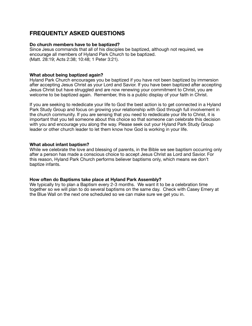# **FREQUENTLY ASKED QUESTIONS**

#### **Do church members have to be baptized?**

Since Jesus commands that all of his disciples be baptized, although not required, we encourage all members of Hyland Park Church to be baptized. (Matt. 28:19; Acts 2:38; 10:48; 1 Peter 3:21).

#### **What about being baptized again?**

Hyland Park Church encourages you be baptized if you have not been baptized by immersion after accepting Jesus Christ as your Lord and Savior. If you have been baptized after accepting Jesus Christ but have struggled and are now renewing your commitment to Christ, you are welcome to be baptized again. Remember, this is a public display of your faith in Christ.

If you are seeking to rededicate your life to God the best action is to get connected in a Hyland Park Study Group and focus on growing your relationship with God through full involvement in the church community. If you are sensing that you need to rededicate your life to Christ, it is important that you tell someone about this choice so that someone can celebrate this decision with you and encourage you along the way. Please seek out your Hyland Park Study Group leader or other church leader to let them know how God is working in your life.

#### **What about infant baptism?**

While we celebrate the love and blessing of parents, in the Bible we see baptism occurring only after a person has made a conscious choice to accept Jesus Christ as Lord and Savior. For this reason, Hyland Park Church performs believer baptisms only, which means we don't baptize infants.

#### **How often do Baptisms take place at Hyland Park Assembly?**

We typically try to plan a Baptism every 2-3 months. We want it to be a celebration time together so we will plan to do several baptisms on the same day. Check with Casey Emery at the Blue Wall on the next one scheduled so we can make sure we get you in.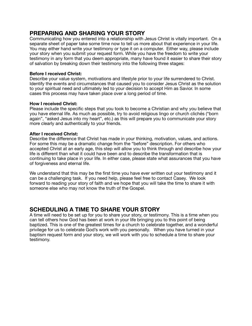# **PREPARING AND SHARING YOUR STORY**

Communicating how you entered into a relationship with Jesus Christ is vitally important. On a separate sheet of paper take some time now to tell us more about that experience in your life. You may either hand write your testimony or type it on a computer. Either way, please include your story when you submit your request form. While you have the freedom to write your testimony in any form that you deem appropriate, many have found it easier to share their story of salvation by breaking down their testimony into the following three stages:

#### **Before I received Christ:**

Describe your value system, motivations and lifestyle prior to your life surrendered to Christ. Identify the events and circumstances that caused you to consider Jesus Christ as the solution to your spiritual need and ultimately led to your decision to accept Him as Savior. In some cases this process may have taken place over a long period of time.

#### **How I received Christ:**

Please include the specific steps that you took to become a Christian and why you believe that you have eternal life. As much as possible, try to avoid religious lingo or church clichés ("born again", "asked Jesus into my heart", etc.) as this will prepare you to communicate your story more clearly and authentically to your friends.

#### **After I received Christ:**

Describe the difference that Christ has made in your thinking, motivation, values, and actions. For some this may be a dramatic change from the "before" description. For others who accepted Christ at an early age, this step will allow you to think through and describe how your life is different than what it could have been and to describe the transformation that is continuing to take place in your life. In either case, please state what assurances that you have of forgiveness and eternal life.

We understand that this may be the first time you have ever written out your testimony and it can be a challenging task. If you need help, please feel free to contact Casey. We look forward to reading your story of faith and we hope that you will take the time to share it with someone else who may not know the truth of the Gospel.

# **SCHEDULING A TIME TO SHARE YOUR STORY**

A time will need to be set up for you to share your story, or testimony. This is a time when you can tell others how God has been at work in your life bringing you to this point of being baptized. This is one of the greatest times for a church to celebrate together, and a wonderful privilege for us to celebrate God's work with you personally. When you have turned in your baptism request form and your story, we will work with you to schedule a time to share your testimony.